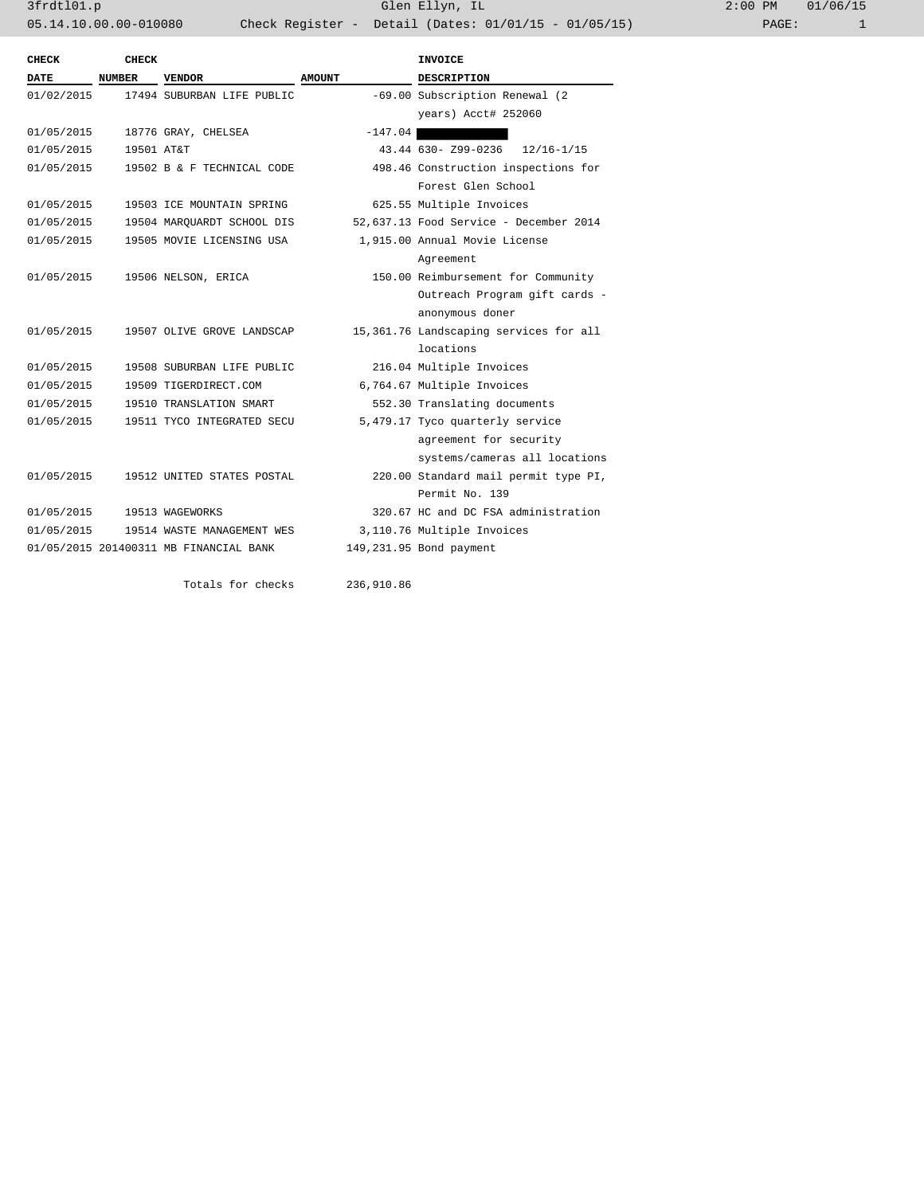3frdtl01.p Glen Ellyn, IL 2:00 PM 01/06/15 05.14.10.00.00-010080 Check Register - Detail (Dates: 01/01/15 - 01/05/15)

| CHECK       | CHECK         |                                        |                            | INVOICE                                |  |
|-------------|---------------|----------------------------------------|----------------------------|----------------------------------------|--|
| <b>DATE</b> | <b>NUMBER</b> | <b>VENDOR</b>                          | <b>AMOUNT</b>              | <b>DESCRIPTION</b>                     |  |
| 01/02/2015  |               | 17494 SUBURBAN LIFE PUBLIC             |                            | -69.00 Subscription Renewal (2)        |  |
|             |               |                                        |                            | years) Acct# 252060                    |  |
| 01/05/2015  |               | 18776 GRAY, CHELSEA                    | $-147.04$                  |                                        |  |
| 01/05/2015  | 19501 AT&T    |                                        |                            | 43.44 630- 799-0236<br>$12/16 - 1/15$  |  |
| 01/05/2015  |               | 19502 B & F TECHNICAL CODE             |                            | 498.46 Construction inspections for    |  |
|             |               |                                        |                            | Forest Glen School                     |  |
| 01/05/2015  |               | 19503 ICE MOUNTAIN SPRING              |                            | 625.55 Multiple Invoices               |  |
| 01/05/2015  |               | 19504 MAROUARDT SCHOOL DIS             |                            | 52,637.13 Food Service - December 2014 |  |
| 01/05/2015  |               | 19505 MOVIE LICENSING USA              |                            | 1,915.00 Annual Movie License          |  |
|             |               |                                        |                            | Agreement                              |  |
| 01/05/2015  |               | 19506 NELSON, ERICA                    |                            | 150.00 Reimbursement for Community     |  |
|             |               |                                        |                            | Outreach Program gift cards -          |  |
|             |               |                                        |                            | anonymous doner                        |  |
| 01/05/2015  |               | 19507 OLIVE GROVE LANDSCAP             |                            | 15,361.76 Landscaping services for all |  |
|             |               |                                        |                            | locations                              |  |
| 01/05/2015  |               | 19508 SUBURBAN LIFE PUBLIC             |                            | 216.04 Multiple Invoices               |  |
| 01/05/2015  |               | 19509 TIGERDIRECT.COM                  |                            | 6,764.67 Multiple Invoices             |  |
| 01/05/2015  |               | 19510 TRANSLATION SMART                |                            | 552.30 Translating documents           |  |
| 01/05/2015  |               | 19511 TYCO INTEGRATED SECU             |                            | 5,479.17 Tyco quarterly service        |  |
|             |               |                                        |                            | agreement for security                 |  |
|             |               |                                        |                            | systems/cameras all locations          |  |
| 01/05/2015  |               | 19512 UNITED STATES POSTAL             |                            | 220.00 Standard mail permit type PI,   |  |
|             |               |                                        |                            | Permit No. 139                         |  |
| 01/05/2015  |               | 19513 WAGEWORKS                        |                            | 320.67 HC and DC FSA administration    |  |
| 01/05/2015  |               | 19514 WASTE MANAGEMENT WES             | 3,110.76 Multiple Invoices |                                        |  |
|             |               | 01/05/2015 201400311 MB FINANCIAL BANK |                            | 149,231.95 Bond payment                |  |
|             |               |                                        |                            |                                        |  |
|             |               | Totals for checks                      | 236,910.86                 |                                        |  |